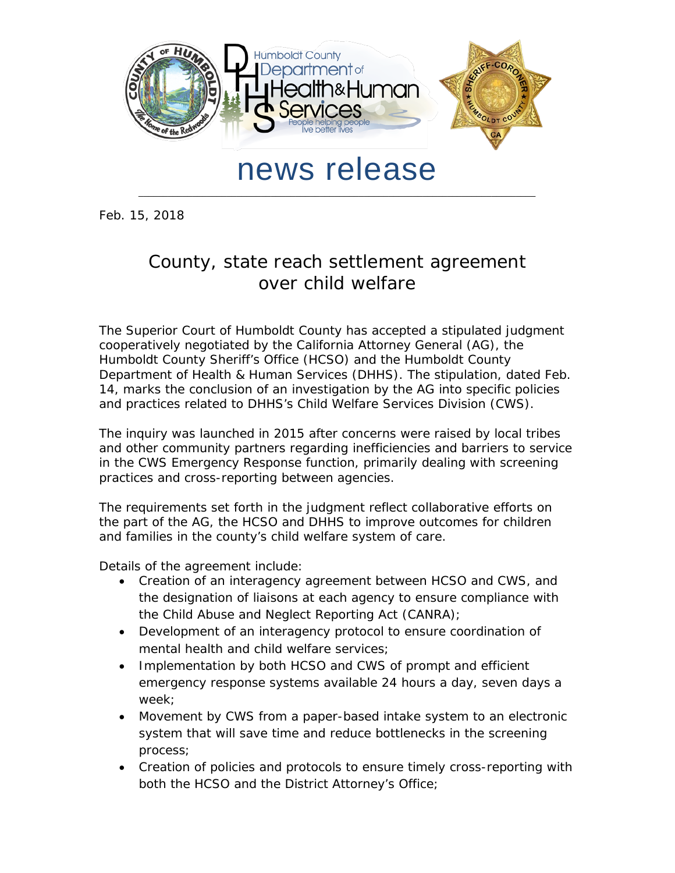

## news release

\_\_\_\_\_\_\_\_\_\_\_\_\_\_\_\_\_\_\_\_\_\_\_\_\_\_\_\_\_\_\_\_\_\_\_\_\_\_\_\_\_\_\_\_\_\_\_\_\_\_\_\_\_\_\_\_\_\_\_\_\_\_\_\_\_\_\_\_\_\_\_\_\_\_\_\_\_\_\_\_\_

Feb. 15, 2018

## County, state reach settlement agreement over child welfare

The Superior Court of Humboldt County has accepted a stipulated judgment cooperatively negotiated by the California Attorney General (AG), the Humboldt County Sheriff's Office (HCSO) and the Humboldt County Department of Health & Human Services (DHHS). The stipulation, dated Feb. 14, marks the conclusion of an investigation by the AG into specific policies and practices related to DHHS's Child Welfare Services Division (CWS).

The inquiry was launched in 2015 after concerns were raised by local tribes and other community partners regarding inefficiencies and barriers to service in the CWS Emergency Response function, primarily dealing with screening practices and cross-reporting between agencies.

The requirements set forth in the judgment reflect collaborative efforts on the part of the AG, the HCSO and DHHS to improve outcomes for children and families in the county's child welfare system of care.

Details of the agreement include:

- Creation of an interagency agreement between HCSO and CWS, and the designation of liaisons at each agency to ensure compliance with the Child Abuse and Neglect Reporting Act (CANRA);
- Development of an interagency protocol to ensure coordination of mental health and child welfare services;
- Implementation by both HCSO and CWS of prompt and efficient emergency response systems available 24 hours a day, seven days a week;
- Movement by CWS from a paper-based intake system to an electronic system that will save time and reduce bottlenecks in the screening process;
- Creation of policies and protocols to ensure timely cross-reporting with both the HCSO and the District Attorney's Office;